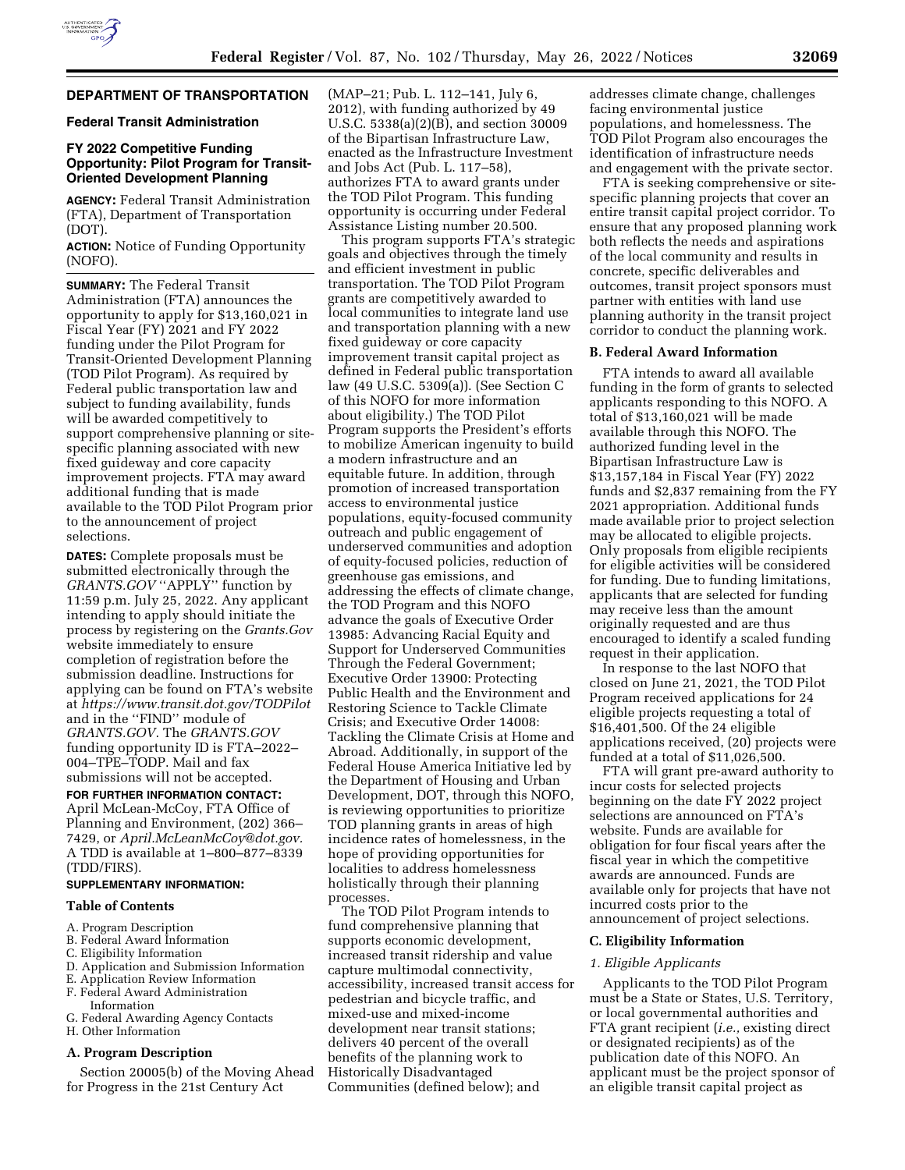

# **DEPARTMENT OF TRANSPORTATION**

### **Federal Transit Administration**

## **FY 2022 Competitive Funding Opportunity: Pilot Program for Transit-Oriented Development Planning**

**AGENCY:** Federal Transit Administration (FTA), Department of Transportation (DOT).

**ACTION:** Notice of Funding Opportunity (NOFO).

**SUMMARY:** The Federal Transit Administration (FTA) announces the opportunity to apply for \$13,160,021 in Fiscal Year (FY) 2021 and FY 2022 funding under the Pilot Program for Transit-Oriented Development Planning (TOD Pilot Program). As required by Federal public transportation law and subject to funding availability, funds will be awarded competitively to support comprehensive planning or sitespecific planning associated with new fixed guideway and core capacity improvement projects. FTA may award additional funding that is made available to the TOD Pilot Program prior to the announcement of project selections.

**DATES:** Complete proposals must be submitted electronically through the *GRANTS.GOV* ''APPLY'' function by 11:59 p.m. July 25, 2022. Any applicant intending to apply should initiate the process by registering on the *Grants.Gov*  website immediately to ensure completion of registration before the submission deadline. Instructions for applying can be found on FTA's website at *https://www.transit.dot.gov/TODPilot*  and in the ''FIND'' module of *GRANTS.GOV*. The *GRANTS.GOV*  funding opportunity ID is FTA–2022– 004–TPE–TODP. Mail and fax submissions will not be accepted.

**FOR FURTHER INFORMATION CONTACT:**  April McLean-McCoy, FTA Office of Planning and Environment, (202) 366– 7429, or *April.McLeanMcCoy@dot.gov.*  A TDD is available at 1–800–877–8339 (TDD/FIRS).

# **SUPPLEMENTARY INFORMATION:**

### **Table of Contents**

- A. Program Description
- B. Federal Award Information
- C. Eligibility Information
- D. Application and Submission Information
- E. Application Review Information
- F. Federal Award Administration Information
- G. Federal Awarding Agency Contacts
- H. Other Information

#### **A. Program Description**

Section 20005(b) of the Moving Ahead for Progress in the 21st Century Act

(MAP–21; Pub. L. 112–141, July 6, 2012), with funding authorized by 49 U.S.C. 5338(a)(2)(B), and section 30009 of the Bipartisan Infrastructure Law, enacted as the Infrastructure Investment and Jobs Act (Pub. L. 117–58), authorizes FTA to award grants under the TOD Pilot Program. This funding opportunity is occurring under Federal Assistance Listing number 20.500.

This program supports FTA's strategic goals and objectives through the timely and efficient investment in public transportation. The TOD Pilot Program grants are competitively awarded to local communities to integrate land use and transportation planning with a new fixed guideway or core capacity improvement transit capital project as defined in Federal public transportation law (49 U.S.C. 5309(a)). (See Section C of this NOFO for more information about eligibility.) The TOD Pilot Program supports the President's efforts to mobilize American ingenuity to build a modern infrastructure and an equitable future. In addition, through promotion of increased transportation access to environmental justice populations, equity-focused community outreach and public engagement of underserved communities and adoption of equity-focused policies, reduction of greenhouse gas emissions, and addressing the effects of climate change, the TOD Program and this NOFO advance the goals of Executive Order 13985: Advancing Racial Equity and Support for Underserved Communities Through the Federal Government; Executive Order 13900: Protecting Public Health and the Environment and Restoring Science to Tackle Climate Crisis; and Executive Order 14008: Tackling the Climate Crisis at Home and Abroad. Additionally, in support of the Federal House America Initiative led by the Department of Housing and Urban Development, DOT, through this NOFO, is reviewing opportunities to prioritize TOD planning grants in areas of high incidence rates of homelessness, in the hope of providing opportunities for localities to address homelessness holistically through their planning processes.

The TOD Pilot Program intends to fund comprehensive planning that supports economic development, increased transit ridership and value capture multimodal connectivity, accessibility, increased transit access for pedestrian and bicycle traffic, and mixed-use and mixed-income development near transit stations; delivers 40 percent of the overall benefits of the planning work to Historically Disadvantaged Communities (defined below); and

addresses climate change, challenges facing environmental justice populations, and homelessness. The TOD Pilot Program also encourages the identification of infrastructure needs and engagement with the private sector.

FTA is seeking comprehensive or sitespecific planning projects that cover an entire transit capital project corridor. To ensure that any proposed planning work both reflects the needs and aspirations of the local community and results in concrete, specific deliverables and outcomes, transit project sponsors must partner with entities with land use planning authority in the transit project corridor to conduct the planning work.

#### **B. Federal Award Information**

FTA intends to award all available funding in the form of grants to selected applicants responding to this NOFO. A total of \$13,160,021 will be made available through this NOFO. The authorized funding level in the Bipartisan Infrastructure Law is \$13,157,184 in Fiscal Year (FY) 2022 funds and \$2,837 remaining from the FY 2021 appropriation. Additional funds made available prior to project selection may be allocated to eligible projects. Only proposals from eligible recipients for eligible activities will be considered for funding. Due to funding limitations, applicants that are selected for funding may receive less than the amount originally requested and are thus encouraged to identify a scaled funding request in their application.

In response to the last NOFO that closed on June 21, 2021, the TOD Pilot Program received applications for 24 eligible projects requesting a total of \$16,401,500. Of the 24 eligible applications received, (20) projects were funded at a total of \$11,026,500.

FTA will grant pre-award authority to incur costs for selected projects beginning on the date FY 2022 project selections are announced on FTA's website. Funds are available for obligation for four fiscal years after the fiscal year in which the competitive awards are announced. Funds are available only for projects that have not incurred costs prior to the announcement of project selections.

### **C. Eligibility Information**

## *1. Eligible Applicants*

Applicants to the TOD Pilot Program must be a State or States, U.S. Territory, or local governmental authorities and FTA grant recipient (*i.e.,* existing direct or designated recipients) as of the publication date of this NOFO. An applicant must be the project sponsor of an eligible transit capital project as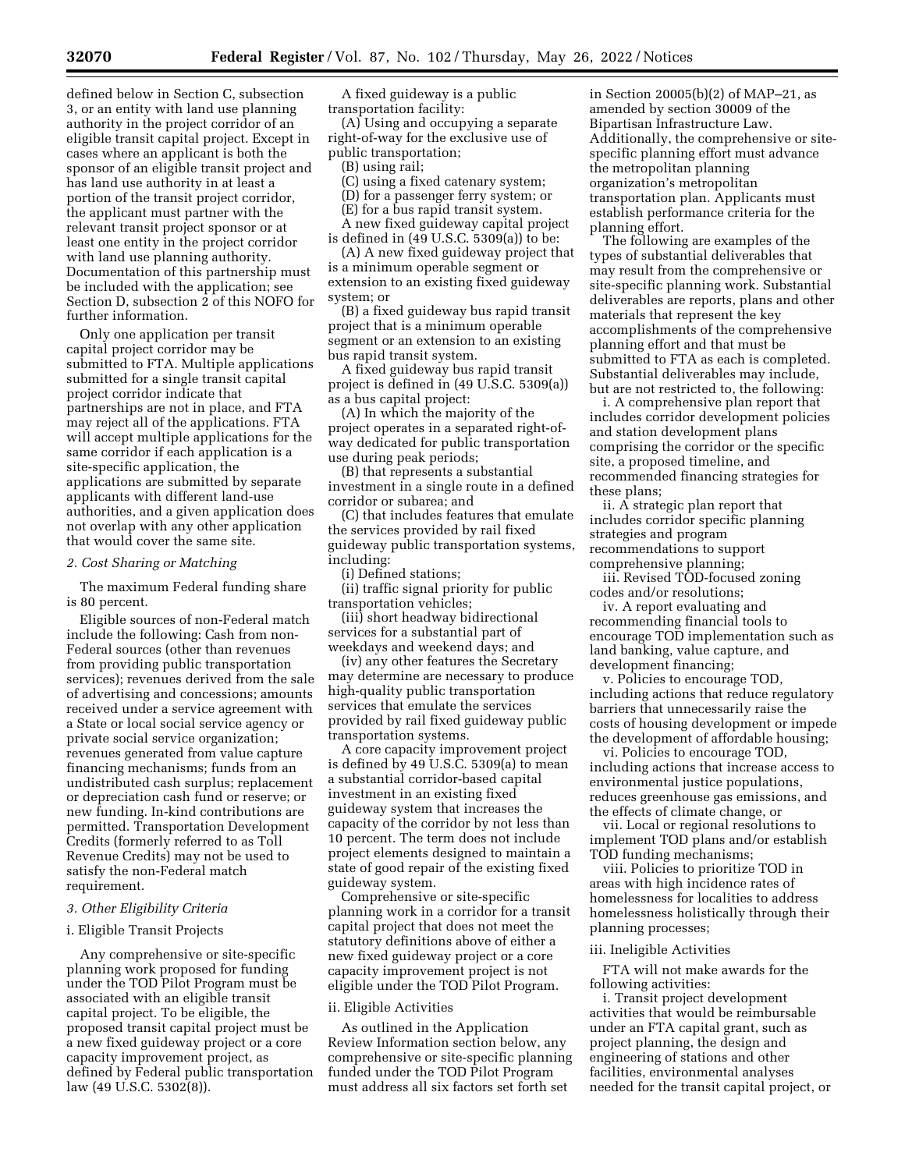defined below in Section C, subsection 3, or an entity with land use planning authority in the project corridor of an eligible transit capital project. Except in cases where an applicant is both the sponsor of an eligible transit project and has land use authority in at least a portion of the transit project corridor, the applicant must partner with the relevant transit project sponsor or at least one entity in the project corridor with land use planning authority. Documentation of this partnership must be included with the application; see Section D, subsection 2 of this NOFO for further information.

Only one application per transit capital project corridor may be submitted to FTA. Multiple applications submitted for a single transit capital project corridor indicate that partnerships are not in place, and FTA may reject all of the applications. FTA will accept multiple applications for the same corridor if each application is a site-specific application, the applications are submitted by separate applicants with different land-use authorities, and a given application does not overlap with any other application that would cover the same site.

#### *2. Cost Sharing or Matching*

The maximum Federal funding share is 80 percent.

Eligible sources of non-Federal match include the following: Cash from non-Federal sources (other than revenues from providing public transportation services); revenues derived from the sale of advertising and concessions; amounts received under a service agreement with a State or local social service agency or private social service organization; revenues generated from value capture financing mechanisms; funds from an undistributed cash surplus; replacement or depreciation cash fund or reserve; or new funding. In-kind contributions are permitted. Transportation Development Credits (formerly referred to as Toll Revenue Credits) may not be used to satisfy the non-Federal match requirement.

#### *3. Other Eligibility Criteria*

#### i. Eligible Transit Projects

Any comprehensive or site-specific planning work proposed for funding under the TOD Pilot Program must be associated with an eligible transit capital project. To be eligible, the proposed transit capital project must be a new fixed guideway project or a core capacity improvement project, as defined by Federal public transportation law (49 U.S.C. 5302(8)).

A fixed guideway is a public transportation facility:

(A) Using and occupying a separate right-of-way for the exclusive use of public transportation;

(B) using rail;

(C) using a fixed catenary system;

(D) for a passenger ferry system; or

(E) for a bus rapid transit system.

A new fixed guideway capital project is defined in (49 U.S.C. 5309(a)) to be:

(A) A new fixed guideway project that is a minimum operable segment or extension to an existing fixed guideway system; or

(B) a fixed guideway bus rapid transit project that is a minimum operable segment or an extension to an existing bus rapid transit system.

A fixed guideway bus rapid transit project is defined in (49 U.S.C. 5309(a)) as a bus capital project:

(A) In which the majority of the project operates in a separated right-ofway dedicated for public transportation use during peak periods;

(B) that represents a substantial investment in a single route in a defined corridor or subarea; and

(C) that includes features that emulate the services provided by rail fixed guideway public transportation systems, including:

(i) Defined stations;

(ii) traffic signal priority for public transportation vehicles;

(iii) short headway bidirectional services for a substantial part of weekdays and weekend days; and

(iv) any other features the Secretary may determine are necessary to produce high-quality public transportation services that emulate the services provided by rail fixed guideway public transportation systems.

A core capacity improvement project is defined by 49 U.S.C. 5309(a) to mean a substantial corridor-based capital investment in an existing fixed guideway system that increases the capacity of the corridor by not less than 10 percent. The term does not include project elements designed to maintain a state of good repair of the existing fixed guideway system.

Comprehensive or site-specific planning work in a corridor for a transit capital project that does not meet the statutory definitions above of either a new fixed guideway project or a core capacity improvement project is not eligible under the TOD Pilot Program.

### ii. Eligible Activities

As outlined in the Application Review Information section below, any comprehensive or site-specific planning funded under the TOD Pilot Program must address all six factors set forth set

in Section 20005(b)(2) of MAP–21, as amended by section 30009 of the Bipartisan Infrastructure Law. Additionally, the comprehensive or sitespecific planning effort must advance the metropolitan planning organization's metropolitan transportation plan. Applicants must establish performance criteria for the planning effort.

The following are examples of the types of substantial deliverables that may result from the comprehensive or site-specific planning work. Substantial deliverables are reports, plans and other materials that represent the key accomplishments of the comprehensive planning effort and that must be submitted to FTA as each is completed. Substantial deliverables may include, but are not restricted to, the following:

i. A comprehensive plan report that includes corridor development policies and station development plans comprising the corridor or the specific site, a proposed timeline, and recommended financing strategies for these plans;

ii. A strategic plan report that includes corridor specific planning strategies and program recommendations to support comprehensive planning;

iii. Revised TOD-focused zoning codes and/or resolutions;

iv. A report evaluating and recommending financial tools to encourage TOD implementation such as land banking, value capture, and development financing;

v. Policies to encourage TOD, including actions that reduce regulatory barriers that unnecessarily raise the costs of housing development or impede the development of affordable housing;

vi. Policies to encourage TOD, including actions that increase access to environmental justice populations, reduces greenhouse gas emissions, and the effects of climate change, or

vii. Local or regional resolutions to implement TOD plans and/or establish TOD funding mechanisms;

viii. Policies to prioritize TOD in areas with high incidence rates of homelessness for localities to address homelessness holistically through their planning processes;

#### iii. Ineligible Activities

FTA will not make awards for the following activities:

i. Transit project development activities that would be reimbursable under an FTA capital grant, such as project planning, the design and engineering of stations and other facilities, environmental analyses needed for the transit capital project, or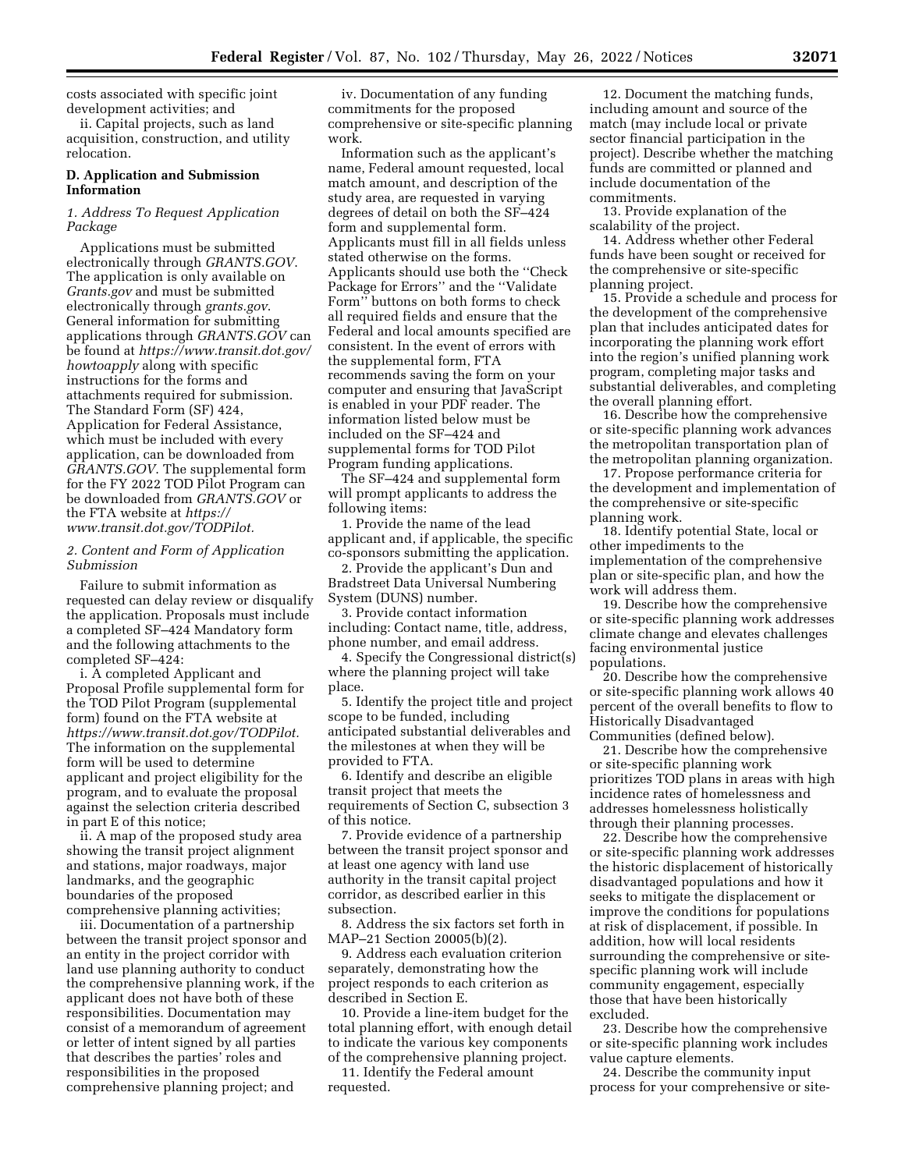costs associated with specific joint development activities; and

ii. Capital projects, such as land acquisition, construction, and utility relocation.

## **D. Application and Submission Information**

## *1. Address To Request Application Package*

Applications must be submitted electronically through *GRANTS.GOV*. The application is only available on *Grants.gov* and must be submitted electronically through *grants.gov*. General information for submitting applications through *GRANTS.GOV* can be found at *https://www.transit.dot.gov/ howtoapply* along with specific instructions for the forms and attachments required for submission. The Standard Form (SF) 424, Application for Federal Assistance, which must be included with every application, can be downloaded from *GRANTS.GOV*. The supplemental form for the FY 2022 TOD Pilot Program can be downloaded from *GRANTS.GOV* or the FTA website at *https:// www.transit.dot.gov/TODPilot.* 

*2. Content and Form of Application Submission* 

Failure to submit information as requested can delay review or disqualify the application. Proposals must include a completed SF–424 Mandatory form and the following attachments to the completed SF–424:

i. A completed Applicant and Proposal Profile supplemental form for the TOD Pilot Program (supplemental form) found on the FTA website at *https://www.transit.dot.gov/TODPilot.*  The information on the supplemental form will be used to determine applicant and project eligibility for the program, and to evaluate the proposal against the selection criteria described in part E of this notice;

ii. A map of the proposed study area showing the transit project alignment and stations, major roadways, major landmarks, and the geographic boundaries of the proposed comprehensive planning activities;

iii. Documentation of a partnership between the transit project sponsor and an entity in the project corridor with land use planning authority to conduct the comprehensive planning work, if the applicant does not have both of these responsibilities. Documentation may consist of a memorandum of agreement or letter of intent signed by all parties that describes the parties' roles and responsibilities in the proposed comprehensive planning project; and

iv. Documentation of any funding commitments for the proposed comprehensive or site-specific planning work.

Information such as the applicant's name, Federal amount requested, local match amount, and description of the study area, are requested in varying degrees of detail on both the SF–424 form and supplemental form. Applicants must fill in all fields unless stated otherwise on the forms. Applicants should use both the ''Check Package for Errors'' and the ''Validate Form'' buttons on both forms to check all required fields and ensure that the Federal and local amounts specified are consistent. In the event of errors with the supplemental form, FTA recommends saving the form on your computer and ensuring that JavaScript is enabled in your PDF reader. The information listed below must be included on the SF–424 and supplemental forms for TOD Pilot Program funding applications.

The SF–424 and supplemental form will prompt applicants to address the following items:

1. Provide the name of the lead applicant and, if applicable, the specific co-sponsors submitting the application.

2. Provide the applicant's Dun and Bradstreet Data Universal Numbering System (DUNS) number.

3. Provide contact information including: Contact name, title, address, phone number, and email address.

4. Specify the Congressional district(s) where the planning project will take place.

5. Identify the project title and project scope to be funded, including anticipated substantial deliverables and the milestones at when they will be provided to FTA.

6. Identify and describe an eligible transit project that meets the requirements of Section C, subsection 3 of this notice.

7. Provide evidence of a partnership between the transit project sponsor and at least one agency with land use authority in the transit capital project corridor, as described earlier in this subsection.

8. Address the six factors set forth in MAP–21 Section 20005(b)(2).

9. Address each evaluation criterion separately, demonstrating how the project responds to each criterion as described in Section E.

10. Provide a line-item budget for the total planning effort, with enough detail to indicate the various key components of the comprehensive planning project.

11. Identify the Federal amount requested.

12. Document the matching funds, including amount and source of the match (may include local or private sector financial participation in the project). Describe whether the matching funds are committed or planned and include documentation of the commitments.

13. Provide explanation of the scalability of the project.

14. Address whether other Federal funds have been sought or received for the comprehensive or site-specific planning project.

15. Provide a schedule and process for the development of the comprehensive plan that includes anticipated dates for incorporating the planning work effort into the region's unified planning work program, completing major tasks and substantial deliverables, and completing the overall planning effort.

16. Describe how the comprehensive or site-specific planning work advances the metropolitan transportation plan of the metropolitan planning organization.

17. Propose performance criteria for the development and implementation of the comprehensive or site-specific planning work.

18. Identify potential State, local or other impediments to the implementation of the comprehensive plan or site-specific plan, and how the work will address them.

19. Describe how the comprehensive or site-specific planning work addresses climate change and elevates challenges facing environmental justice populations.

20. Describe how the comprehensive or site-specific planning work allows 40 percent of the overall benefits to flow to Historically Disadvantaged Communities (defined below).

21. Describe how the comprehensive or site-specific planning work prioritizes TOD plans in areas with high incidence rates of homelessness and addresses homelessness holistically through their planning processes.

22. Describe how the comprehensive or site-specific planning work addresses the historic displacement of historically disadvantaged populations and how it seeks to mitigate the displacement or improve the conditions for populations at risk of displacement, if possible. In addition, how will local residents surrounding the comprehensive or sitespecific planning work will include community engagement, especially those that have been historically excluded.

23. Describe how the comprehensive or site-specific planning work includes value capture elements.

24. Describe the community input process for your comprehensive or site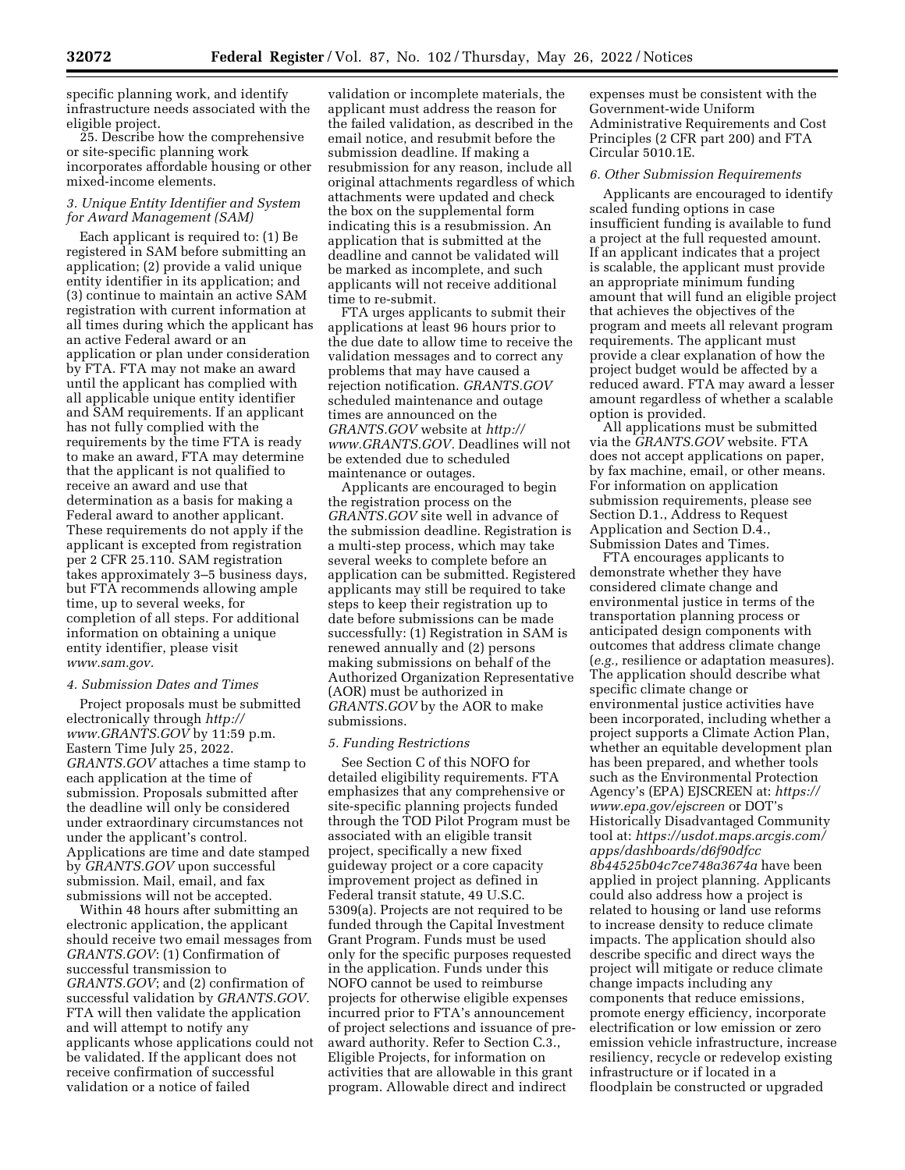specific planning work, and identify infrastructure needs associated with the eligible project.

25. Describe how the comprehensive or site-specific planning work incorporates affordable housing or other mixed-income elements.

## *3. Unique Entity Identifier and System for Award Management (SAM)*

Each applicant is required to: (1) Be registered in SAM before submitting an application; (2) provide a valid unique entity identifier in its application; and (3) continue to maintain an active SAM registration with current information at all times during which the applicant has an active Federal award or an application or plan under consideration by FTA. FTA may not make an award until the applicant has complied with all applicable unique entity identifier and SAM requirements. If an applicant has not fully complied with the requirements by the time FTA is ready to make an award, FTA may determine that the applicant is not qualified to receive an award and use that determination as a basis for making a Federal award to another applicant. These requirements do not apply if the applicant is excepted from registration per 2 CFR 25.110. SAM registration takes approximately 3–5 business days, but FTA recommends allowing ample time, up to several weeks, for completion of all steps. For additional information on obtaining a unique entity identifier, please visit *www.sam.gov.* 

### *4. Submission Dates and Times*

Project proposals must be submitted electronically through *http:// www.GRANTS.GOV* by 11:59 p.m. Eastern Time July 25, 2022. *GRANTS.GOV* attaches a time stamp to each application at the time of submission. Proposals submitted after the deadline will only be considered under extraordinary circumstances not under the applicant's control. Applications are time and date stamped by *GRANTS.GOV* upon successful submission. Mail, email, and fax submissions will not be accepted.

Within 48 hours after submitting an electronic application, the applicant should receive two email messages from *GRANTS.GOV*: (1) Confirmation of successful transmission to *GRANTS.GOV*; and (2) confirmation of successful validation by *GRANTS.GOV*. FTA will then validate the application and will attempt to notify any applicants whose applications could not be validated. If the applicant does not receive confirmation of successful validation or a notice of failed

validation or incomplete materials, the applicant must address the reason for the failed validation, as described in the email notice, and resubmit before the submission deadline. If making a resubmission for any reason, include all original attachments regardless of which attachments were updated and check the box on the supplemental form indicating this is a resubmission. An application that is submitted at the deadline and cannot be validated will be marked as incomplete, and such applicants will not receive additional time to re-submit.

FTA urges applicants to submit their applications at least 96 hours prior to the due date to allow time to receive the validation messages and to correct any problems that may have caused a rejection notification. *GRANTS.GOV*  scheduled maintenance and outage times are announced on the *GRANTS.GOV* website at *http:// www.GRANTS.GOV.* Deadlines will not be extended due to scheduled maintenance or outages.

Applicants are encouraged to begin the registration process on the *GRANTS.GOV* site well in advance of the submission deadline. Registration is a multi-step process, which may take several weeks to complete before an application can be submitted. Registered applicants may still be required to take steps to keep their registration up to date before submissions can be made successfully: (1) Registration in SAM is renewed annually and (2) persons making submissions on behalf of the Authorized Organization Representative (AOR) must be authorized in *GRANTS.GOV* by the AOR to make submissions.

#### *5. Funding Restrictions*

See Section C of this NOFO for detailed eligibility requirements. FTA emphasizes that any comprehensive or site-specific planning projects funded through the TOD Pilot Program must be associated with an eligible transit project, specifically a new fixed guideway project or a core capacity improvement project as defined in Federal transit statute, 49 U.S.C. 5309(a). Projects are not required to be funded through the Capital Investment Grant Program. Funds must be used only for the specific purposes requested in the application. Funds under this NOFO cannot be used to reimburse projects for otherwise eligible expenses incurred prior to FTA's announcement of project selections and issuance of preaward authority. Refer to Section C.3., Eligible Projects, for information on activities that are allowable in this grant program. Allowable direct and indirect

expenses must be consistent with the Government-wide Uniform Administrative Requirements and Cost Principles (2 CFR part 200) and FTA Circular 5010.1E.

#### *6. Other Submission Requirements*

Applicants are encouraged to identify scaled funding options in case insufficient funding is available to fund a project at the full requested amount. If an applicant indicates that a project is scalable, the applicant must provide an appropriate minimum funding amount that will fund an eligible project that achieves the objectives of the program and meets all relevant program requirements. The applicant must provide a clear explanation of how the project budget would be affected by a reduced award. FTA may award a lesser amount regardless of whether a scalable option is provided.

All applications must be submitted via the *GRANTS.GOV* website. FTA does not accept applications on paper, by fax machine, email, or other means. For information on application submission requirements, please see Section D.1., Address to Request Application and Section D.4., Submission Dates and Times.

FTA encourages applicants to demonstrate whether they have considered climate change and environmental justice in terms of the transportation planning process or anticipated design components with outcomes that address climate change (*e.g.,* resilience or adaptation measures). The application should describe what specific climate change or environmental justice activities have been incorporated, including whether a project supports a Climate Action Plan, whether an equitable development plan has been prepared, and whether tools such as the Environmental Protection Agency's (EPA) EJSCREEN at: *https:// www.epa.gov/ejscreen* or DOT's Historically Disadvantaged Community tool at: *https://usdot.maps.arcgis.com/ apps/dashboards/d6f90dfcc 8b44525b04c7ce748a3674a* have been applied in project planning. Applicants could also address how a project is related to housing or land use reforms to increase density to reduce climate impacts. The application should also describe specific and direct ways the project will mitigate or reduce climate change impacts including any components that reduce emissions, promote energy efficiency, incorporate electrification or low emission or zero emission vehicle infrastructure, increase resiliency, recycle or redevelop existing infrastructure or if located in a floodplain be constructed or upgraded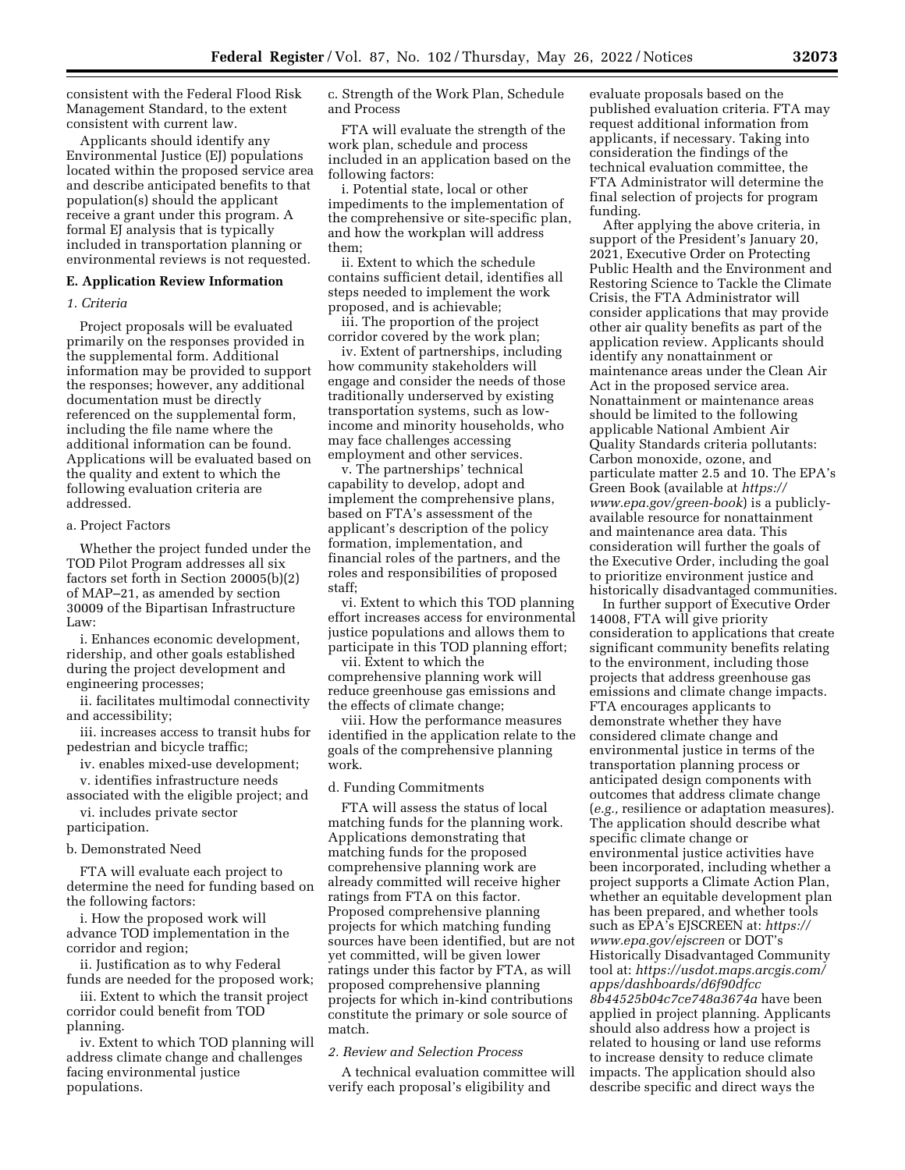consistent with the Federal Flood Risk Management Standard, to the extent consistent with current law.

Applicants should identify any Environmental Justice (EJ) populations located within the proposed service area and describe anticipated benefits to that population(s) should the applicant receive a grant under this program. A formal EJ analysis that is typically included in transportation planning or environmental reviews is not requested.

### **E. Application Review Information**

#### *1. Criteria*

Project proposals will be evaluated primarily on the responses provided in the supplemental form. Additional information may be provided to support the responses; however, any additional documentation must be directly referenced on the supplemental form, including the file name where the additional information can be found. Applications will be evaluated based on the quality and extent to which the following evaluation criteria are addressed.

### a. Project Factors

Whether the project funded under the TOD Pilot Program addresses all six factors set forth in Section 20005(b)(2) of MAP–21, as amended by section 30009 of the Bipartisan Infrastructure Law:

i. Enhances economic development, ridership, and other goals established during the project development and engineering processes;

ii. facilitates multimodal connectivity and accessibility;

iii. increases access to transit hubs for pedestrian and bicycle traffic;

iv. enables mixed-use development;

v. identifies infrastructure needs associated with the eligible project; and

vi. includes private sector participation.

### b. Demonstrated Need

FTA will evaluate each project to determine the need for funding based on the following factors:

i. How the proposed work will advance TOD implementation in the corridor and region;

ii. Justification as to why Federal funds are needed for the proposed work;

iii. Extent to which the transit project corridor could benefit from TOD planning.

iv. Extent to which TOD planning will address climate change and challenges facing environmental justice populations.

c. Strength of the Work Plan, Schedule and Process

FTA will evaluate the strength of the work plan, schedule and process included in an application based on the following factors:

i. Potential state, local or other impediments to the implementation of the comprehensive or site-specific plan, and how the workplan will address them;

ii. Extent to which the schedule contains sufficient detail, identifies all steps needed to implement the work proposed, and is achievable;

iii. The proportion of the project corridor covered by the work plan;

iv. Extent of partnerships, including how community stakeholders will engage and consider the needs of those traditionally underserved by existing transportation systems, such as lowincome and minority households, who may face challenges accessing employment and other services.

v. The partnerships' technical capability to develop, adopt and implement the comprehensive plans, based on FTA's assessment of the applicant's description of the policy formation, implementation, and financial roles of the partners, and the roles and responsibilities of proposed staff;

vi. Extent to which this TOD planning effort increases access for environmental justice populations and allows them to participate in this TOD planning effort;

vii. Extent to which the comprehensive planning work will reduce greenhouse gas emissions and the effects of climate change;

viii. How the performance measures identified in the application relate to the goals of the comprehensive planning work.

### d. Funding Commitments

FTA will assess the status of local matching funds for the planning work. Applications demonstrating that matching funds for the proposed comprehensive planning work are already committed will receive higher ratings from FTA on this factor. Proposed comprehensive planning projects for which matching funding sources have been identified, but are not yet committed, will be given lower ratings under this factor by FTA, as will proposed comprehensive planning projects for which in-kind contributions constitute the primary or sole source of match.

### *2. Review and Selection Process*

A technical evaluation committee will verify each proposal's eligibility and

evaluate proposals based on the published evaluation criteria. FTA may request additional information from applicants, if necessary. Taking into consideration the findings of the technical evaluation committee, the FTA Administrator will determine the final selection of projects for program funding.

After applying the above criteria, in support of the President's January 20, 2021, Executive Order on Protecting Public Health and the Environment and Restoring Science to Tackle the Climate Crisis, the FTA Administrator will consider applications that may provide other air quality benefits as part of the application review. Applicants should identify any nonattainment or maintenance areas under the Clean Air Act in the proposed service area. Nonattainment or maintenance areas should be limited to the following applicable National Ambient Air Quality Standards criteria pollutants: Carbon monoxide, ozone, and particulate matter 2.5 and 10. The EPA's Green Book (available at *https:// www.epa.gov/green-book*) is a publiclyavailable resource for nonattainment and maintenance area data. This consideration will further the goals of the Executive Order, including the goal to prioritize environment justice and historically disadvantaged communities.

In further support of Executive Order 14008, FTA will give priority consideration to applications that create significant community benefits relating to the environment, including those projects that address greenhouse gas emissions and climate change impacts. FTA encourages applicants to demonstrate whether they have considered climate change and environmental justice in terms of the transportation planning process or anticipated design components with outcomes that address climate change (*e.g.,* resilience or adaptation measures). The application should describe what specific climate change or environmental justice activities have been incorporated, including whether a project supports a Climate Action Plan, whether an equitable development plan has been prepared, and whether tools such as EPA's EJSCREEN at: *https:// www.epa.gov/ejscreen* or DOT's Historically Disadvantaged Community tool at: *https://usdot.maps.arcgis.com/ apps/dashboards/d6f90dfcc 8b44525b04c7ce748a3674a* have been applied in project planning. Applicants should also address how a project is related to housing or land use reforms to increase density to reduce climate impacts. The application should also describe specific and direct ways the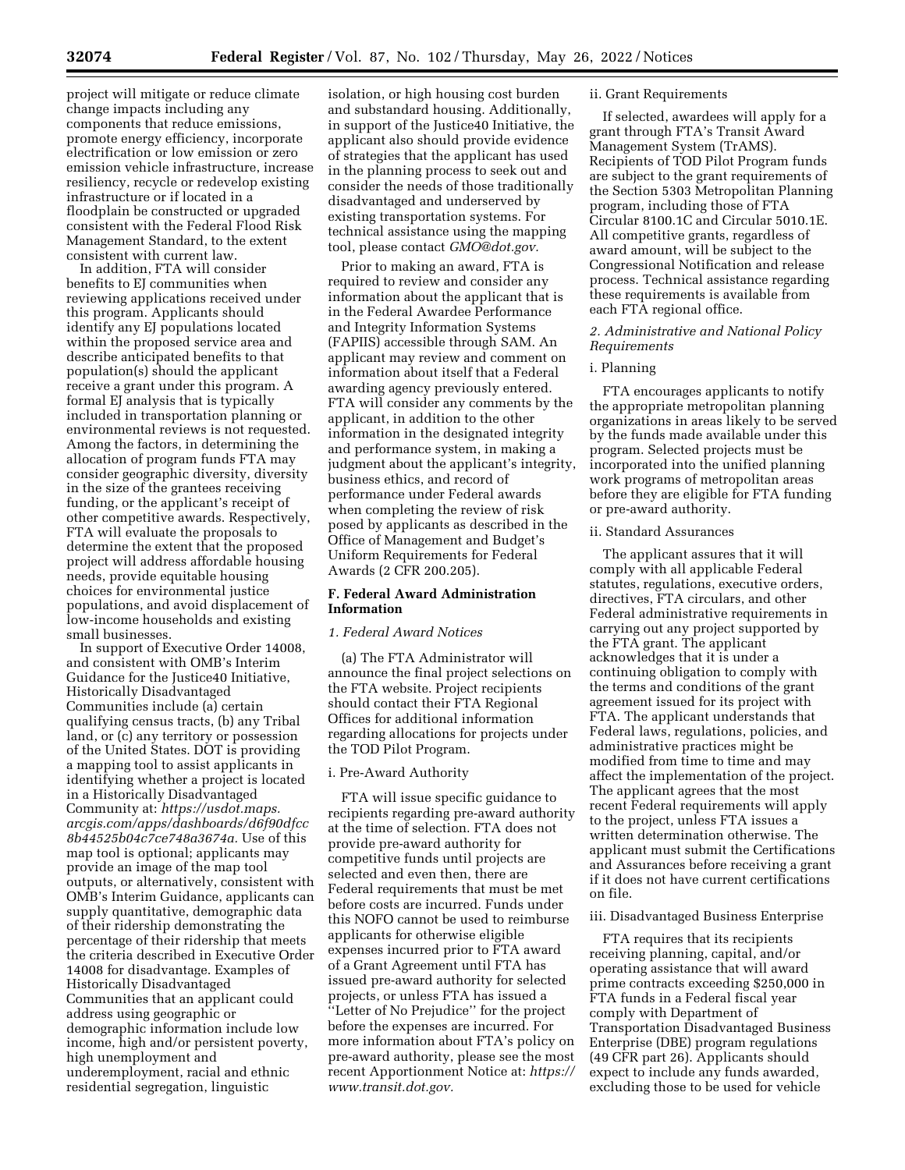project will mitigate or reduce climate change impacts including any components that reduce emissions, promote energy efficiency, incorporate electrification or low emission or zero emission vehicle infrastructure, increase resiliency, recycle or redevelop existing infrastructure or if located in a floodplain be constructed or upgraded consistent with the Federal Flood Risk Management Standard, to the extent consistent with current law.

In addition, FTA will consider benefits to EJ communities when reviewing applications received under this program. Applicants should identify any EJ populations located within the proposed service area and describe anticipated benefits to that population(s) should the applicant receive a grant under this program. A formal EJ analysis that is typically included in transportation planning or environmental reviews is not requested. Among the factors, in determining the allocation of program funds FTA may consider geographic diversity, diversity in the size of the grantees receiving funding, or the applicant's receipt of other competitive awards. Respectively, FTA will evaluate the proposals to determine the extent that the proposed project will address affordable housing needs, provide equitable housing choices for environmental justice populations, and avoid displacement of low-income households and existing small businesses.

In support of Executive Order 14008, and consistent with OMB's Interim Guidance for the Justice40 Initiative, Historically Disadvantaged Communities include (a) certain qualifying census tracts, (b) any Tribal land, or (c) any territory or possession of the United States. DOT is providing a mapping tool to assist applicants in identifying whether a project is located in a Historically Disadvantaged Community at: *https://usdot.maps. arcgis.com/apps/dashboards/d6f90dfcc 8b44525b04c7ce748a3674a.* Use of this map tool is optional; applicants may provide an image of the map tool outputs, or alternatively, consistent with OMB's Interim Guidance, applicants can supply quantitative, demographic data of their ridership demonstrating the percentage of their ridership that meets the criteria described in Executive Order 14008 for disadvantage. Examples of Historically Disadvantaged Communities that an applicant could address using geographic or demographic information include low income, high and/or persistent poverty, high unemployment and underemployment, racial and ethnic residential segregation, linguistic

isolation, or high housing cost burden and substandard housing. Additionally, in support of the Justice40 Initiative, the applicant also should provide evidence of strategies that the applicant has used in the planning process to seek out and consider the needs of those traditionally disadvantaged and underserved by existing transportation systems. For technical assistance using the mapping tool, please contact *GMO@dot.gov.* 

Prior to making an award, FTA is required to review and consider any information about the applicant that is in the Federal Awardee Performance and Integrity Information Systems (FAPIIS) accessible through SAM. An applicant may review and comment on information about itself that a Federal awarding agency previously entered. FTA will consider any comments by the applicant, in addition to the other information in the designated integrity and performance system, in making a judgment about the applicant's integrity, business ethics, and record of performance under Federal awards when completing the review of risk posed by applicants as described in the Office of Management and Budget's Uniform Requirements for Federal Awards (2 CFR 200.205).

## **F. Federal Award Administration Information**

## *1. Federal Award Notices*

(a) The FTA Administrator will announce the final project selections on the FTA website. Project recipients should contact their FTA Regional Offices for additional information regarding allocations for projects under the TOD Pilot Program.

## i. Pre-Award Authority

FTA will issue specific guidance to recipients regarding pre-award authority at the time of selection. FTA does not provide pre-award authority for competitive funds until projects are selected and even then, there are Federal requirements that must be met before costs are incurred. Funds under this NOFO cannot be used to reimburse applicants for otherwise eligible expenses incurred prior to FTA award of a Grant Agreement until FTA has issued pre-award authority for selected projects, or unless FTA has issued a ''Letter of No Prejudice'' for the project before the expenses are incurred. For more information about FTA's policy on pre-award authority, please see the most recent Apportionment Notice at: *https:// www.transit.dot.gov.* 

## ii. Grant Requirements

If selected, awardees will apply for a grant through FTA's Transit Award Management System (TrAMS). Recipients of TOD Pilot Program funds are subject to the grant requirements of the Section 5303 Metropolitan Planning program, including those of FTA Circular 8100.1C and Circular 5010.1E. All competitive grants, regardless of award amount, will be subject to the Congressional Notification and release process. Technical assistance regarding these requirements is available from each FTA regional office.

### *2. Administrative and National Policy Requirements*

#### i. Planning

FTA encourages applicants to notify the appropriate metropolitan planning organizations in areas likely to be served by the funds made available under this program. Selected projects must be incorporated into the unified planning work programs of metropolitan areas before they are eligible for FTA funding or pre-award authority.

#### ii. Standard Assurances

The applicant assures that it will comply with all applicable Federal statutes, regulations, executive orders, directives, FTA circulars, and other Federal administrative requirements in carrying out any project supported by the FTA grant. The applicant acknowledges that it is under a continuing obligation to comply with the terms and conditions of the grant agreement issued for its project with FTA. The applicant understands that Federal laws, regulations, policies, and administrative practices might be modified from time to time and may affect the implementation of the project. The applicant agrees that the most recent Federal requirements will apply to the project, unless FTA issues a written determination otherwise. The applicant must submit the Certifications and Assurances before receiving a grant if it does not have current certifications on file.

#### iii. Disadvantaged Business Enterprise

FTA requires that its recipients receiving planning, capital, and/or operating assistance that will award prime contracts exceeding \$250,000 in FTA funds in a Federal fiscal year comply with Department of Transportation Disadvantaged Business Enterprise (DBE) program regulations (49 CFR part 26). Applicants should expect to include any funds awarded, excluding those to be used for vehicle